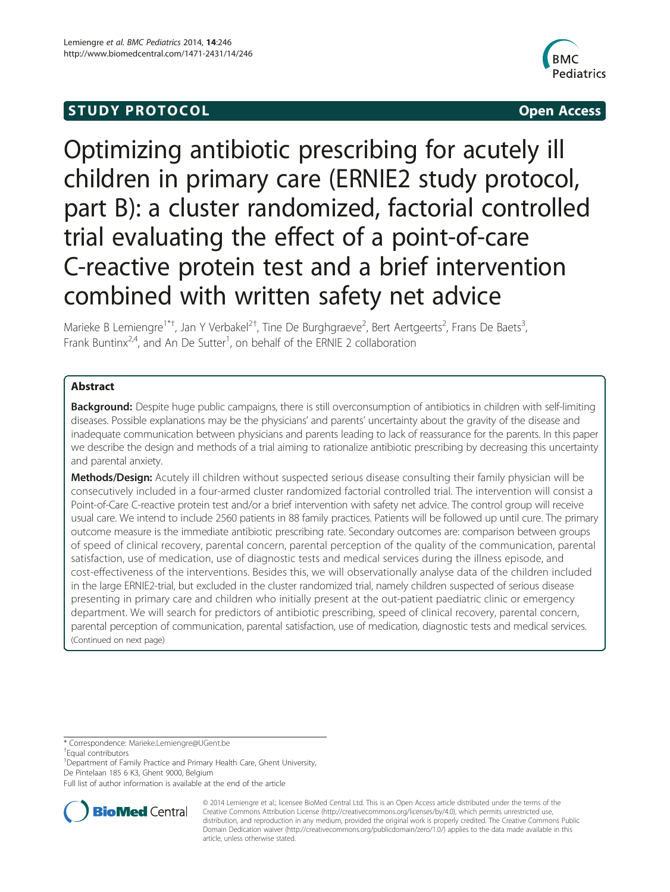# **STUDY PROTOCOL CONSUMING THE STUDY PROTOCOL**



Optimizing antibiotic prescribing for acutely ill children in primary care (ERNIE2 study protocol, part B): a cluster randomized, factorial controlled trial evaluating the effect of a point-of-care C-reactive protein test and a brief intervention combined with written safety net advice

Marieke B Lemiengre<sup>1\*†</sup>, Jan Y Verbakel<sup>2†</sup>, Tine De Burghgraeve<sup>2</sup>, Bert Aertgeerts<sup>2</sup>, Frans De Baets<sup>3</sup> , Frank Buntinx<sup>2,4</sup>, and An De Sutter<sup>1</sup>, on behalf of the ERNIE 2 collaboration

# Abstract

**Background:** Despite huge public campaigns, there is still overconsumption of antibiotics in children with self-limiting diseases. Possible explanations may be the physicians' and parents' uncertainty about the gravity of the disease and inadequate communication between physicians and parents leading to lack of reassurance for the parents. In this paper we describe the design and methods of a trial aiming to rationalize antibiotic prescribing by decreasing this uncertainty and parental anxiety.

Methods/Design: Acutely ill children without suspected serious disease consulting their family physician will be consecutively included in a four-armed cluster randomized factorial controlled trial. The intervention will consist a Point-of-Care C-reactive protein test and/or a brief intervention with safety net advice. The control group will receive usual care. We intend to include 2560 patients in 88 family practices. Patients will be followed up until cure. The primary outcome measure is the immediate antibiotic prescribing rate. Secondary outcomes are: comparison between groups of speed of clinical recovery, parental concern, parental perception of the quality of the communication, parental satisfaction, use of medication, use of diagnostic tests and medical services during the illness episode, and cost-effectiveness of the interventions. Besides this, we will observationally analyse data of the children included in the large ERNIE2-trial, but excluded in the cluster randomized trial, namely children suspected of serious disease presenting in primary care and children who initially present at the out-patient paediatric clinic or emergency department. We will search for predictors of antibiotic prescribing, speed of clinical recovery, parental concern, parental perception of communication, parental satisfaction, use of medication, diagnostic tests and medical services. (Continued on next page)

\* Correspondence: [Marieke.Lemiengre@UGent.be](mailto:Marieke.Lemiengre@UGent.be) †

Equal contributors

<sup>1</sup> Department of Family Practice and Primary Health Care, Ghent University, De Pintelaan 185 6 K3, Ghent 9000, Belgium

Full list of author information is available at the end of the article



© 2014 Lemiengre et al.; licensee BioMed Central Ltd. This is an Open Access article distributed under the terms of the Creative Commons Attribution License (<http://creativecommons.org/licenses/by/4.0>), which permits unrestricted use, distribution, and reproduction in any medium, provided the original work is properly credited. The Creative Commons Public Domain Dedication waiver [\(http://creativecommons.org/publicdomain/zero/1.0/\)](http://creativecommons.org/publicdomain/zero/1.0/) applies to the data made available in this article, unless otherwise stated.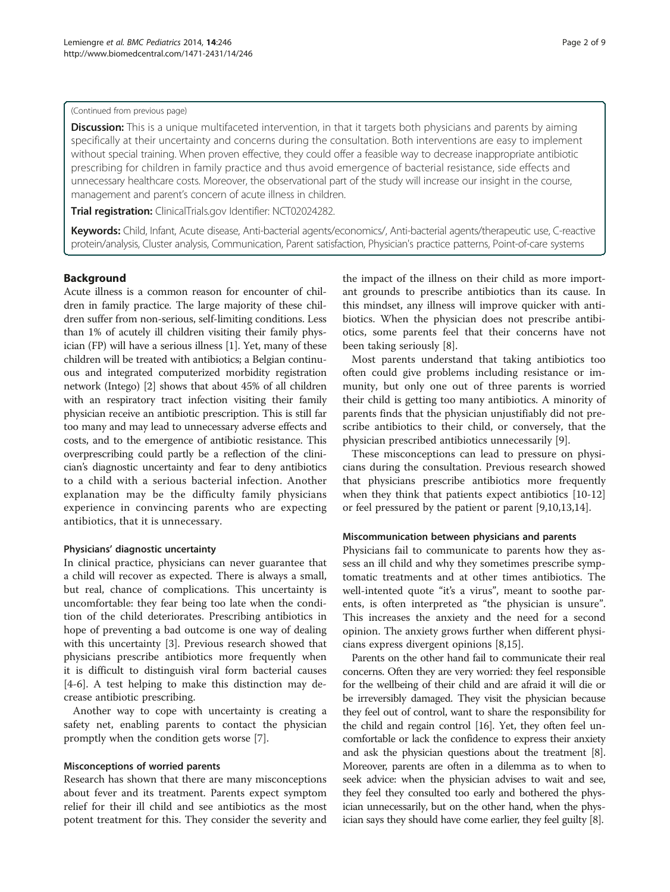### (Continued from previous page)

Discussion: This is a unique multifaceted intervention, in that it targets both physicians and parents by aiming specifically at their uncertainty and concerns during the consultation. Both interventions are easy to implement without special training. When proven effective, they could offer a feasible way to decrease inappropriate antibiotic prescribing for children in family practice and thus avoid emergence of bacterial resistance, side effects and unnecessary healthcare costs. Moreover, the observational part of the study will increase our insight in the course, management and parent's concern of acute illness in children.

Trial registration: ClinicalTrials.gov Identifier: [NCT02024282](http://clinicaltrials.gov/show/NCT02024282).

Keywords: Child, Infant, Acute disease, Anti-bacterial agents/economics/, Anti-bacterial agents/therapeutic use, C-reactive protein/analysis, Cluster analysis, Communication, Parent satisfaction, Physician's practice patterns, Point-of-care systems

# Background

Acute illness is a common reason for encounter of children in family practice. The large majority of these children suffer from non-serious, self-limiting conditions. Less than 1% of acutely ill children visiting their family physician (FP) will have a serious illness [[1](#page-7-0)]. Yet, many of these children will be treated with antibiotics; a Belgian continuous and integrated computerized morbidity registration network (Intego) [[2\]](#page-7-0) shows that about 45% of all children with an respiratory tract infection visiting their family physician receive an antibiotic prescription. This is still far too many and may lead to unnecessary adverse effects and costs, and to the emergence of antibiotic resistance. This overprescribing could partly be a reflection of the clinician's diagnostic uncertainty and fear to deny antibiotics to a child with a serious bacterial infection. Another explanation may be the difficulty family physicians experience in convincing parents who are expecting antibiotics, that it is unnecessary.

# Physicians' diagnostic uncertainty

In clinical practice, physicians can never guarantee that a child will recover as expected. There is always a small, but real, chance of complications. This uncertainty is uncomfortable: they fear being too late when the condition of the child deteriorates. Prescribing antibiotics in hope of preventing a bad outcome is one way of dealing with this uncertainty [[3\]](#page-7-0). Previous research showed that physicians prescribe antibiotics more frequently when it is difficult to distinguish viral form bacterial causes [[4-6](#page-7-0)]. A test helping to make this distinction may decrease antibiotic prescribing.

Another way to cope with uncertainty is creating a safety net, enabling parents to contact the physician promptly when the condition gets worse [[7\]](#page-7-0).

# Misconceptions of worried parents

Research has shown that there are many misconceptions about fever and its treatment. Parents expect symptom relief for their ill child and see antibiotics as the most potent treatment for this. They consider the severity and

the impact of the illness on their child as more important grounds to prescribe antibiotics than its cause. In this mindset, any illness will improve quicker with antibiotics. When the physician does not prescribe antibiotics, some parents feel that their concerns have not been taking seriously [[8\]](#page-7-0).

Most parents understand that taking antibiotics too often could give problems including resistance or immunity, but only one out of three parents is worried their child is getting too many antibiotics. A minority of parents finds that the physician unjustifiably did not prescribe antibiotics to their child, or conversely, that the physician prescribed antibiotics unnecessarily [[9\]](#page-7-0).

These misconceptions can lead to pressure on physicians during the consultation. Previous research showed that physicians prescribe antibiotics more frequently when they think that patients expect antibiotics [\[10](#page-7-0)-[12](#page-7-0)] or feel pressured by the patient or parent [[9,10,13,14](#page-7-0)].

# Miscommunication between physicians and parents

Physicians fail to communicate to parents how they assess an ill child and why they sometimes prescribe symptomatic treatments and at other times antibiotics. The well-intented quote "it's a virus", meant to soothe parents, is often interpreted as "the physician is unsure". This increases the anxiety and the need for a second opinion. The anxiety grows further when different physicians express divergent opinions [[8](#page-7-0),[15](#page-7-0)].

Parents on the other hand fail to communicate their real concerns. Often they are very worried: they feel responsible for the wellbeing of their child and are afraid it will die or be irreversibly damaged. They visit the physician because they feel out of control, want to share the responsibility for the child and regain control [\[16\]](#page-7-0). Yet, they often feel uncomfortable or lack the confidence to express their anxiety and ask the physician questions about the treatment [[8](#page-7-0)]. Moreover, parents are often in a dilemma as to when to seek advice: when the physician advises to wait and see, they feel they consulted too early and bothered the physician unnecessarily, but on the other hand, when the physician says they should have come earlier, they feel guilty [\[8\]](#page-7-0).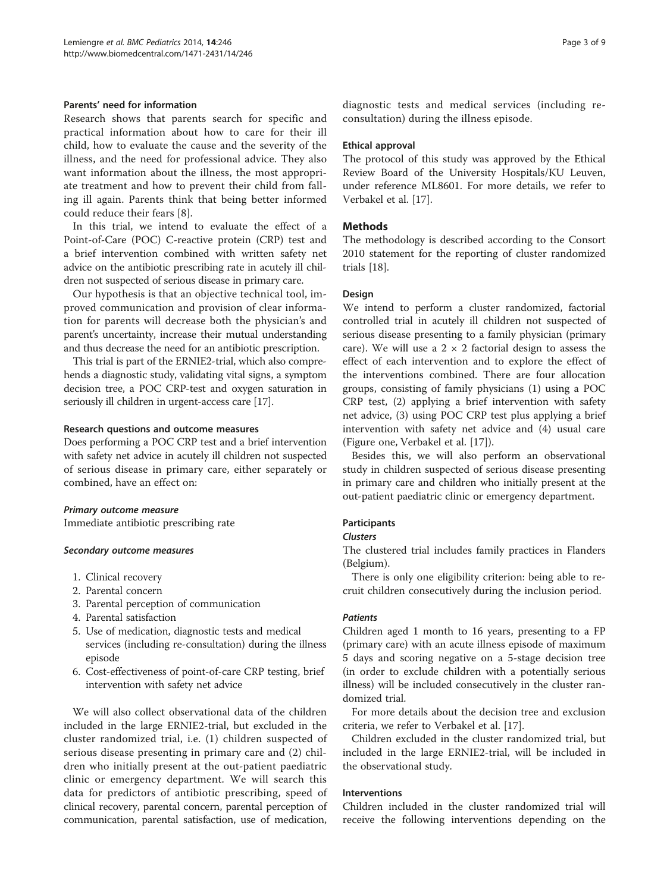### Parents' need for information

Research shows that parents search for specific and practical information about how to care for their ill child, how to evaluate the cause and the severity of the illness, and the need for professional advice. They also want information about the illness, the most appropriate treatment and how to prevent their child from falling ill again. Parents think that being better informed could reduce their fears [[8\]](#page-7-0).

In this trial, we intend to evaluate the effect of a Point-of-Care (POC) C-reactive protein (CRP) test and a brief intervention combined with written safety net advice on the antibiotic prescribing rate in acutely ill children not suspected of serious disease in primary care.

Our hypothesis is that an objective technical tool, improved communication and provision of clear information for parents will decrease both the physician's and parent's uncertainty, increase their mutual understanding and thus decrease the need for an antibiotic prescription.

This trial is part of the ERNIE2-trial, which also comprehends a diagnostic study, validating vital signs, a symptom decision tree, a POC CRP-test and oxygen saturation in seriously ill children in urgent-access care [[17](#page-7-0)].

## Research questions and outcome measures

Does performing a POC CRP test and a brief intervention with safety net advice in acutely ill children not suspected of serious disease in primary care, either separately or combined, have an effect on:

### Primary outcome measure

Immediate antibiotic prescribing rate

### Secondary outcome measures

- 1. Clinical recovery
- 2. Parental concern
- 3. Parental perception of communication
- 4. Parental satisfaction
- 5. Use of medication, diagnostic tests and medical services (including re-consultation) during the illness episode
- 6. Cost-effectiveness of point-of-care CRP testing, brief intervention with safety net advice

We will also collect observational data of the children included in the large ERNIE2-trial, but excluded in the cluster randomized trial, i.e. (1) children suspected of serious disease presenting in primary care and (2) children who initially present at the out-patient paediatric clinic or emergency department. We will search this data for predictors of antibiotic prescribing, speed of clinical recovery, parental concern, parental perception of communication, parental satisfaction, use of medication,

diagnostic tests and medical services (including reconsultation) during the illness episode.

# Ethical approval

The protocol of this study was approved by the Ethical Review Board of the University Hospitals/KU Leuven, under reference ML8601. For more details, we refer to Verbakel et al. [[17](#page-7-0)].

# **Methods**

The methodology is described according to the Consort 2010 statement for the reporting of cluster randomized trials [[18\]](#page-8-0).

# Design

We intend to perform a cluster randomized, factorial controlled trial in acutely ill children not suspected of serious disease presenting to a family physician (primary care). We will use a  $2 \times 2$  factorial design to assess the effect of each intervention and to explore the effect of the interventions combined. There are four allocation groups, consisting of family physicians (1) using a POC CRP test, (2) applying a brief intervention with safety net advice, (3) using POC CRP test plus applying a brief intervention with safety net advice and (4) usual care (Figure one, Verbakel et al. [[17\]](#page-7-0)).

Besides this, we will also perform an observational study in children suspected of serious disease presenting in primary care and children who initially present at the out-patient paediatric clinic or emergency department.

# **Participants**

# Clusters

The clustered trial includes family practices in Flanders (Belgium).

There is only one eligibility criterion: being able to recruit children consecutively during the inclusion period.

# **Patients**

Children aged 1 month to 16 years, presenting to a FP (primary care) with an acute illness episode of maximum 5 days and scoring negative on a 5-stage decision tree (in order to exclude children with a potentially serious illness) will be included consecutively in the cluster randomized trial.

For more details about the decision tree and exclusion criteria, we refer to Verbakel et al. [\[17\]](#page-7-0).

Children excluded in the cluster randomized trial, but included in the large ERNIE2-trial, will be included in the observational study.

# Interventions

Children included in the cluster randomized trial will receive the following interventions depending on the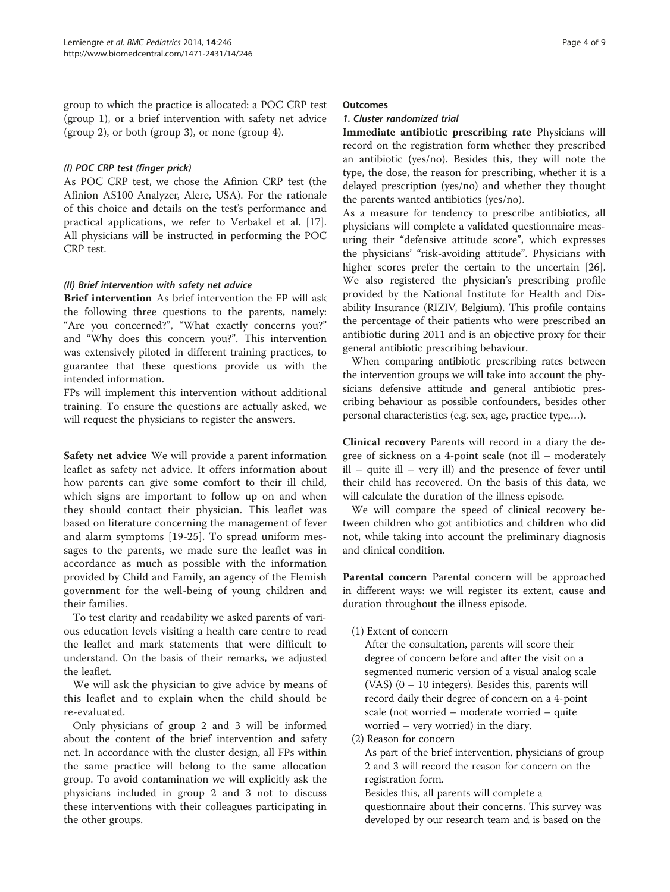group to which the practice is allocated: a POC CRP test (group 1), or a brief intervention with safety net advice (group 2), or both (group 3), or none (group 4).

# (I) POC CRP test (finger prick)

As POC CRP test, we chose the Afinion CRP test (the Afinion AS100 Analyzer, Alere, USA). For the rationale of this choice and details on the test's performance and practical applications, we refer to Verbakel et al. [\[17](#page-7-0)]. All physicians will be instructed in performing the POC CRP test.

# (II) Brief intervention with safety net advice

Brief intervention As brief intervention the FP will ask the following three questions to the parents, namely: "Are you concerned?", "What exactly concerns you?" and "Why does this concern you?". This intervention was extensively piloted in different training practices, to guarantee that these questions provide us with the intended information.

FPs will implement this intervention without additional training. To ensure the questions are actually asked, we will request the physicians to register the answers.

Safety net advice We will provide a parent information leaflet as safety net advice. It offers information about how parents can give some comfort to their ill child, which signs are important to follow up on and when they should contact their physician. This leaflet was based on literature concerning the management of fever and alarm symptoms [[19-25\]](#page-8-0). To spread uniform messages to the parents, we made sure the leaflet was in accordance as much as possible with the information provided by Child and Family, an agency of the Flemish government for the well-being of young children and their families.

To test clarity and readability we asked parents of various education levels visiting a health care centre to read the leaflet and mark statements that were difficult to understand. On the basis of their remarks, we adjusted the leaflet.

We will ask the physician to give advice by means of this leaflet and to explain when the child should be re-evaluated.

Only physicians of group 2 and 3 will be informed about the content of the brief intervention and safety net. In accordance with the cluster design, all FPs within the same practice will belong to the same allocation group. To avoid contamination we will explicitly ask the physicians included in group 2 and 3 not to discuss these interventions with their colleagues participating in the other groups.

### **Outcomes**

# 1. Cluster randomized trial

Immediate antibiotic prescribing rate Physicians will record on the registration form whether they prescribed an antibiotic (yes/no). Besides this, they will note the type, the dose, the reason for prescribing, whether it is a delayed prescription (yes/no) and whether they thought the parents wanted antibiotics (yes/no).

As a measure for tendency to prescribe antibiotics, all physicians will complete a validated questionnaire measuring their "defensive attitude score", which expresses the physicians' "risk-avoiding attitude". Physicians with higher scores prefer the certain to the uncertain [\[26](#page-8-0)]. We also registered the physician's prescribing profile provided by the National Institute for Health and Disability Insurance (RIZIV, Belgium). This profile contains the percentage of their patients who were prescribed an antibiotic during 2011 and is an objective proxy for their general antibiotic prescribing behaviour.

When comparing antibiotic prescribing rates between the intervention groups we will take into account the physicians defensive attitude and general antibiotic prescribing behaviour as possible confounders, besides other personal characteristics (e.g. sex, age, practice type,…).

Clinical recovery Parents will record in a diary the degree of sickness on a 4-point scale (not ill – moderately ill – quite ill – very ill) and the presence of fever until their child has recovered. On the basis of this data, we will calculate the duration of the illness episode.

We will compare the speed of clinical recovery between children who got antibiotics and children who did not, while taking into account the preliminary diagnosis and clinical condition.

Parental concern Parental concern will be approached in different ways: we will register its extent, cause and duration throughout the illness episode.

(1) Extent of concern

After the consultation, parents will score their degree of concern before and after the visit on a segmented numeric version of a visual analog scale (VAS)  $(0 - 10$  integers). Besides this, parents will record daily their degree of concern on a 4-point scale (not worried – moderate worried – quite worried – very worried) in the diary.

(2) Reason for concern

As part of the brief intervention, physicians of group 2 and 3 will record the reason for concern on the registration form.

Besides this, all parents will complete a questionnaire about their concerns. This survey was developed by our research team and is based on the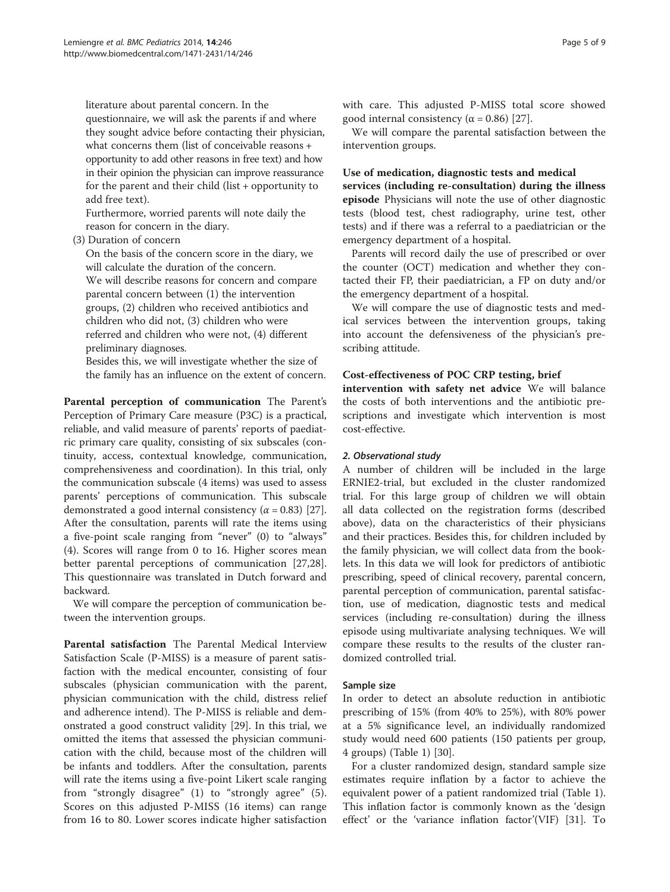literature about parental concern. In the questionnaire, we will ask the parents if and where they sought advice before contacting their physician, what concerns them (list of conceivable reasons + opportunity to add other reasons in free text) and how in their opinion the physician can improve reassurance for the parent and their child (list + opportunity to add free text).

Furthermore, worried parents will note daily the reason for concern in the diary.

### (3) Duration of concern

On the basis of the concern score in the diary, we will calculate the duration of the concern. We will describe reasons for concern and compare parental concern between (1) the intervention groups, (2) children who received antibiotics and children who did not, (3) children who were referred and children who were not, (4) different preliminary diagnoses.

Besides this, we will investigate whether the size of the family has an influence on the extent of concern.

Parental perception of communication The Parent's Perception of Primary Care measure (P3C) is a practical, reliable, and valid measure of parents' reports of paediatric primary care quality, consisting of six subscales (continuity, access, contextual knowledge, communication, comprehensiveness and coordination). In this trial, only the communication subscale (4 items) was used to assess parents' perceptions of communication. This subscale demonstrated a good internal consistency ( $\alpha$  = 0.83) [\[27](#page-8-0)]. After the consultation, parents will rate the items using a five-point scale ranging from "never" (0) to "always" (4). Scores will range from 0 to 16. Higher scores mean better parental perceptions of communication [\[27,28](#page-8-0)]. This questionnaire was translated in Dutch forward and backward.

We will compare the perception of communication between the intervention groups.

Parental satisfaction The Parental Medical Interview Satisfaction Scale (P-MISS) is a measure of parent satisfaction with the medical encounter, consisting of four subscales (physician communication with the parent, physician communication with the child, distress relief and adherence intend). The P-MISS is reliable and demonstrated a good construct validity [\[29\]](#page-8-0). In this trial, we omitted the items that assessed the physician communication with the child, because most of the children will be infants and toddlers. After the consultation, parents will rate the items using a five-point Likert scale ranging from "strongly disagree" (1) to "strongly agree" (5). Scores on this adjusted P-MISS (16 items) can range from 16 to 80. Lower scores indicate higher satisfaction with care. This adjusted P-MISS total score showed good internal consistency ( $\alpha$  = 0.86) [\[27](#page-8-0)].

We will compare the parental satisfaction between the intervention groups.

### Use of medication, diagnostic tests and medical

services (including re-consultation) during the illness episode Physicians will note the use of other diagnostic tests (blood test, chest radiography, urine test, other tests) and if there was a referral to a paediatrician or the emergency department of a hospital.

Parents will record daily the use of prescribed or over the counter (OCT) medication and whether they contacted their FP, their paediatrician, a FP on duty and/or the emergency department of a hospital.

We will compare the use of diagnostic tests and medical services between the intervention groups, taking into account the defensiveness of the physician's prescribing attitude.

# Cost-effectiveness of POC CRP testing, brief

intervention with safety net advice We will balance the costs of both interventions and the antibiotic prescriptions and investigate which intervention is most cost-effective.

### 2. Observational study

A number of children will be included in the large ERNIE2-trial, but excluded in the cluster randomized trial. For this large group of children we will obtain all data collected on the registration forms (described above), data on the characteristics of their physicians and their practices. Besides this, for children included by the family physician, we will collect data from the booklets. In this data we will look for predictors of antibiotic prescribing, speed of clinical recovery, parental concern, parental perception of communication, parental satisfaction, use of medication, diagnostic tests and medical services (including re-consultation) during the illness episode using multivariate analysing techniques. We will compare these results to the results of the cluster randomized controlled trial.

### Sample size

In order to detect an absolute reduction in antibiotic prescribing of 15% (from 40% to 25%), with 80% power at a 5% significance level, an individually randomized study would need 600 patients (150 patients per group, 4 groups) (Table [1\)](#page-5-0) [[30\]](#page-8-0).

For a cluster randomized design, standard sample size estimates require inflation by a factor to achieve the equivalent power of a patient randomized trial (Table [1](#page-5-0)). This inflation factor is commonly known as the 'design effect' or the 'variance inflation factor'(VIF) [[31\]](#page-8-0). To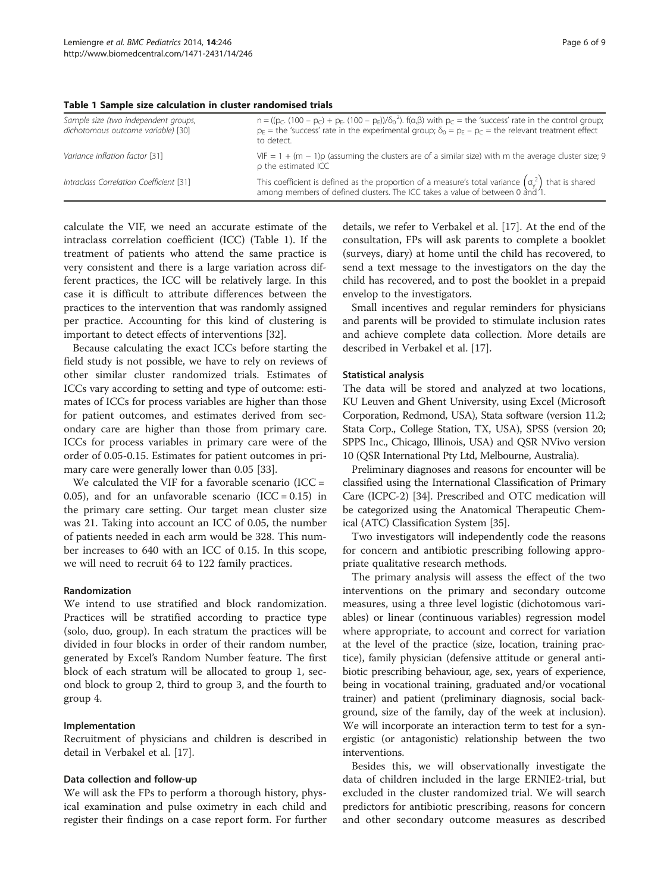| Sample size (two independent groups,<br>dichotomous outcome variable) [30] | $n = ((p_C. (100 - p_C) + p_E. (100 - p_E))/\delta_0^2)$ . $f(\alpha, \beta)$ with $p_C$ = the 'success' rate in the control group;<br>$p_E$ = the 'success' rate in the experimental group; $\delta_0 = p_E - p_C$ = the relevant treatment effect<br>to detect. |
|----------------------------------------------------------------------------|-------------------------------------------------------------------------------------------------------------------------------------------------------------------------------------------------------------------------------------------------------------------|
| Variance inflation factor [31]                                             | $VIF = 1 + (m - 1)\rho$ (assuming the clusters are of a similar size) with m the average cluster size; 9<br>p the estimated ICC                                                                                                                                   |
| Intraclass Correlation Coefficient [31]                                    | This coefficient is defined as the proportion of a measure's total variance $(\sigma_y^2)$ that is shared among members of defined clusters. The ICC takes a value of between 0 and 1.                                                                            |

<span id="page-5-0"></span>Table 1 Sample size calculation in cluster randomised trials

calculate the VIF, we need an accurate estimate of the intraclass correlation coefficient (ICC) (Table 1). If the treatment of patients who attend the same practice is very consistent and there is a large variation across different practices, the ICC will be relatively large. In this case it is difficult to attribute differences between the practices to the intervention that was randomly assigned per practice. Accounting for this kind of clustering is important to detect effects of interventions [\[32](#page-8-0)].

Because calculating the exact ICCs before starting the field study is not possible, we have to rely on reviews of other similar cluster randomized trials. Estimates of ICCs vary according to setting and type of outcome: estimates of ICCs for process variables are higher than those for patient outcomes, and estimates derived from secondary care are higher than those from primary care. ICCs for process variables in primary care were of the order of 0.05-0.15. Estimates for patient outcomes in primary care were generally lower than 0.05 [[33](#page-8-0)].

We calculated the VIF for a favorable scenario  $(ICC =$ 0.05), and for an unfavorable scenario  $(ICC = 0.15)$  in the primary care setting. Our target mean cluster size was 21. Taking into account an ICC of 0.05, the number of patients needed in each arm would be 328. This number increases to 640 with an ICC of 0.15. In this scope, we will need to recruit 64 to 122 family practices.

### Randomization

We intend to use stratified and block randomization. Practices will be stratified according to practice type (solo, duo, group). In each stratum the practices will be divided in four blocks in order of their random number, generated by Excel's Random Number feature. The first block of each stratum will be allocated to group 1, second block to group 2, third to group 3, and the fourth to group 4.

#### Implementation

Recruitment of physicians and children is described in detail in Verbakel et al. [[17\]](#page-7-0).

#### Data collection and follow-up

We will ask the FPs to perform a thorough history, physical examination and pulse oximetry in each child and register their findings on a case report form. For further details, we refer to Verbakel et al. [\[17](#page-7-0)]. At the end of the consultation, FPs will ask parents to complete a booklet (surveys, diary) at home until the child has recovered, to send a text message to the investigators on the day the child has recovered, and to post the booklet in a prepaid envelop to the investigators.

Small incentives and regular reminders for physicians and parents will be provided to stimulate inclusion rates and achieve complete data collection. More details are described in Verbakel et al. [\[17\]](#page-7-0).

#### Statistical analysis

The data will be stored and analyzed at two locations, KU Leuven and Ghent University, using Excel (Microsoft Corporation, Redmond, USA), Stata software (version 11.2; Stata Corp., College Station, TX, USA), SPSS (version 20; SPPS Inc., Chicago, Illinois, USA) and QSR NVivo version 10 (QSR International Pty Ltd, Melbourne, Australia).

Preliminary diagnoses and reasons for encounter will be classified using the International Classification of Primary Care (ICPC-2) [\[34\]](#page-8-0). Prescribed and OTC medication will be categorized using the Anatomical Therapeutic Chemical (ATC) Classification System [\[35\]](#page-8-0).

Two investigators will independently code the reasons for concern and antibiotic prescribing following appropriate qualitative research methods.

The primary analysis will assess the effect of the two interventions on the primary and secondary outcome measures, using a three level logistic (dichotomous variables) or linear (continuous variables) regression model where appropriate, to account and correct for variation at the level of the practice (size, location, training practice), family physician (defensive attitude or general antibiotic prescribing behaviour, age, sex, years of experience, being in vocational training, graduated and/or vocational trainer) and patient (preliminary diagnosis, social background, size of the family, day of the week at inclusion). We will incorporate an interaction term to test for a synergistic (or antagonistic) relationship between the two interventions.

Besides this, we will observationally investigate the data of children included in the large ERNIE2-trial, but excluded in the cluster randomized trial. We will search predictors for antibiotic prescribing, reasons for concern and other secondary outcome measures as described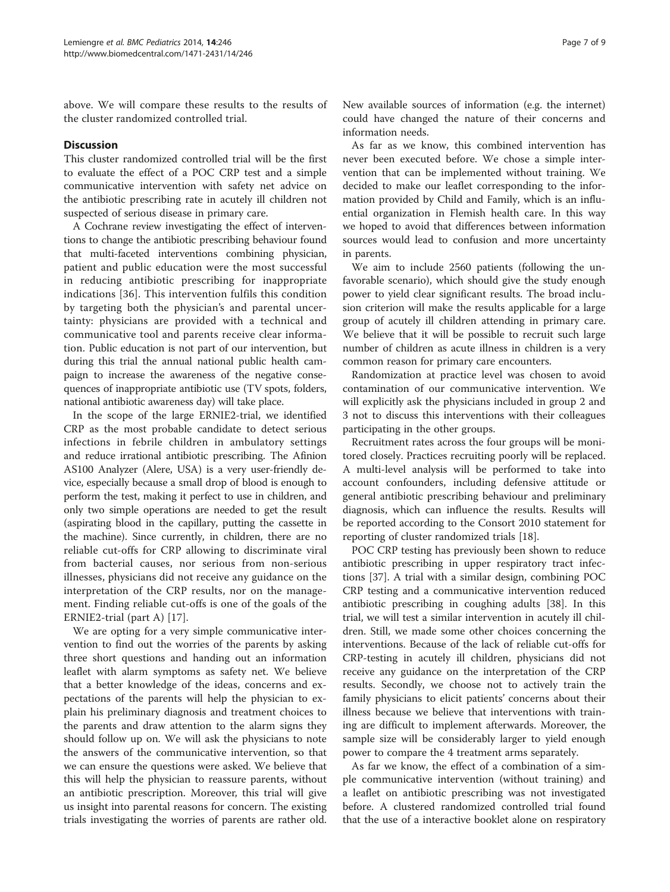above. We will compare these results to the results of the cluster randomized controlled trial.

## **Discussion**

This cluster randomized controlled trial will be the first to evaluate the effect of a POC CRP test and a simple communicative intervention with safety net advice on the antibiotic prescribing rate in acutely ill children not suspected of serious disease in primary care.

A Cochrane review investigating the effect of interventions to change the antibiotic prescribing behaviour found that multi-faceted interventions combining physician, patient and public education were the most successful in reducing antibiotic prescribing for inappropriate indications [\[36\]](#page-8-0). This intervention fulfils this condition by targeting both the physician's and parental uncertainty: physicians are provided with a technical and communicative tool and parents receive clear information. Public education is not part of our intervention, but during this trial the annual national public health campaign to increase the awareness of the negative consequences of inappropriate antibiotic use (TV spots, folders, national antibiotic awareness day) will take place.

In the scope of the large ERNIE2-trial, we identified CRP as the most probable candidate to detect serious infections in febrile children in ambulatory settings and reduce irrational antibiotic prescribing. The Afinion AS100 Analyzer (Alere, USA) is a very user-friendly device, especially because a small drop of blood is enough to perform the test, making it perfect to use in children, and only two simple operations are needed to get the result (aspirating blood in the capillary, putting the cassette in the machine). Since currently, in children, there are no reliable cut-offs for CRP allowing to discriminate viral from bacterial causes, nor serious from non-serious illnesses, physicians did not receive any guidance on the interpretation of the CRP results, nor on the management. Finding reliable cut-offs is one of the goals of the ERNIE2-trial (part A) [\[17](#page-7-0)].

We are opting for a very simple communicative intervention to find out the worries of the parents by asking three short questions and handing out an information leaflet with alarm symptoms as safety net. We believe that a better knowledge of the ideas, concerns and expectations of the parents will help the physician to explain his preliminary diagnosis and treatment choices to the parents and draw attention to the alarm signs they should follow up on. We will ask the physicians to note the answers of the communicative intervention, so that we can ensure the questions were asked. We believe that this will help the physician to reassure parents, without an antibiotic prescription. Moreover, this trial will give us insight into parental reasons for concern. The existing trials investigating the worries of parents are rather old. New available sources of information (e.g. the internet) could have changed the nature of their concerns and information needs.

As far as we know, this combined intervention has never been executed before. We chose a simple intervention that can be implemented without training. We decided to make our leaflet corresponding to the information provided by Child and Family, which is an influential organization in Flemish health care. In this way we hoped to avoid that differences between information sources would lead to confusion and more uncertainty in parents.

We aim to include 2560 patients (following the unfavorable scenario), which should give the study enough power to yield clear significant results. The broad inclusion criterion will make the results applicable for a large group of acutely ill children attending in primary care. We believe that it will be possible to recruit such large number of children as acute illness in children is a very common reason for primary care encounters.

Randomization at practice level was chosen to avoid contamination of our communicative intervention. We will explicitly ask the physicians included in group 2 and 3 not to discuss this interventions with their colleagues participating in the other groups.

Recruitment rates across the four groups will be monitored closely. Practices recruiting poorly will be replaced. A multi-level analysis will be performed to take into account confounders, including defensive attitude or general antibiotic prescribing behaviour and preliminary diagnosis, which can influence the results. Results will be reported according to the Consort 2010 statement for reporting of cluster randomized trials [\[18](#page-8-0)].

POC CRP testing has previously been shown to reduce antibiotic prescribing in upper respiratory tract infections [\[37](#page-8-0)]. A trial with a similar design, combining POC CRP testing and a communicative intervention reduced antibiotic prescribing in coughing adults [\[38\]](#page-8-0). In this trial, we will test a similar intervention in acutely ill children. Still, we made some other choices concerning the interventions. Because of the lack of reliable cut-offs for CRP-testing in acutely ill children, physicians did not receive any guidance on the interpretation of the CRP results. Secondly, we choose not to actively train the family physicians to elicit patients' concerns about their illness because we believe that interventions with training are difficult to implement afterwards. Moreover, the sample size will be considerably larger to yield enough power to compare the 4 treatment arms separately.

As far we know, the effect of a combination of a simple communicative intervention (without training) and a leaflet on antibiotic prescribing was not investigated before. A clustered randomized controlled trial found that the use of a interactive booklet alone on respiratory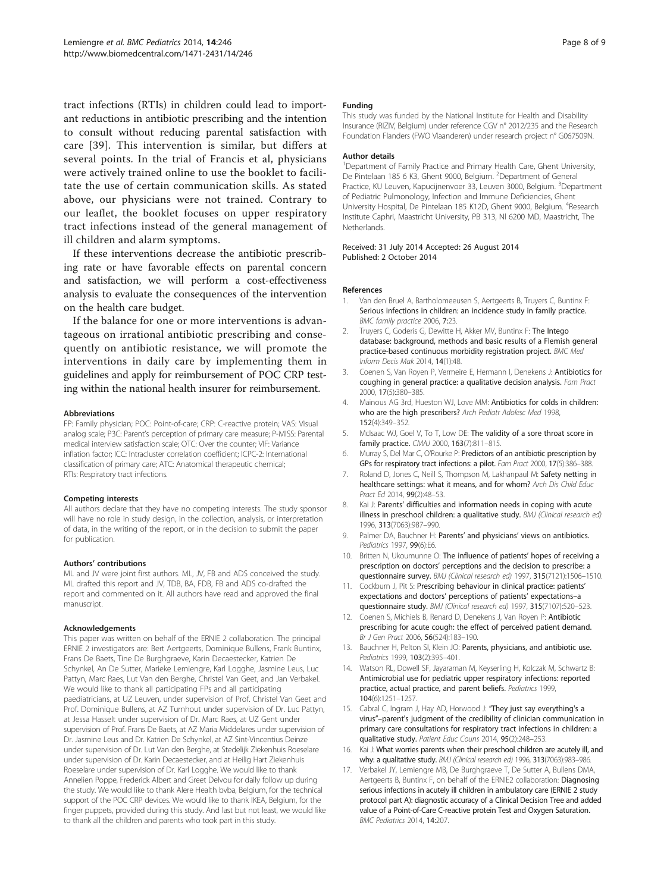<span id="page-7-0"></span>tract infections (RTIs) in children could lead to important reductions in antibiotic prescribing and the intention to consult without reducing parental satisfaction with care [[39\]](#page-8-0). This intervention is similar, but differs at several points. In the trial of Francis et al, physicians were actively trained online to use the booklet to facilitate the use of certain communication skills. As stated above, our physicians were not trained. Contrary to our leaflet, the booklet focuses on upper respiratory tract infections instead of the general management of ill children and alarm symptoms.

If these interventions decrease the antibiotic prescribing rate or have favorable effects on parental concern and satisfaction, we will perform a cost-effectiveness analysis to evaluate the consequences of the intervention on the health care budget.

If the balance for one or more interventions is advantageous on irrational antibiotic prescribing and consequently on antibiotic resistance, we will promote the interventions in daily care by implementing them in guidelines and apply for reimbursement of POC CRP testing within the national health insurer for reimbursement.

#### Abbreviations

FP: Family physician; POC: Point-of-care; CRP: C-reactive protein; VAS: Visual analog scale; P3C: Parent's perception of primary care measure; P-MISS: Parental medical interview satisfaction scale; OTC: Over the counter; VIF: Variance inflation factor; ICC: Intracluster correlation coefficient; ICPC-2: International classification of primary care; ATC: Anatomical therapeutic chemical; RTIs: Respiratory tract infections.

#### Competing interests

All authors declare that they have no competing interests. The study sponsor will have no role in study design, in the collection, analysis, or interpretation of data, in the writing of the report, or in the decision to submit the paper for publication.

#### Authors' contributions

ML and JV were joint first authors. ML, JV, FB and ADS conceived the study. ML drafted this report and JV, TDB, BA, FDB, FB and ADS co-drafted the report and commented on it. All authors have read and approved the final manuscript.

#### Acknowledgements

This paper was written on behalf of the ERNIE 2 collaboration. The principal ERNIE 2 investigators are: Bert Aertgeerts, Dominique Bullens, Frank Buntinx, Frans De Baets, Tine De Burghgraeve, Karin Decaestecker, Katrien De Schynkel, An De Sutter, Marieke Lemiengre, Karl Logghe, Jasmine Leus, Luc Pattyn, Marc Raes, Lut Van den Berghe, Christel Van Geet, and Jan Verbakel. We would like to thank all participating FPs and all participating paediatricians, at UZ Leuven, under supervision of Prof. Christel Van Geet and Prof. Dominique Bullens, at AZ Turnhout under supervision of Dr. Luc Pattyn, at Jessa Hasselt under supervision of Dr. Marc Raes, at UZ Gent under supervision of Prof. Frans De Baets, at AZ Maria Middelares under supervision of Dr. Jasmine Leus and Dr. Katrien De Schynkel, at AZ Sint-Vincentius Deinze under supervision of Dr. Lut Van den Berghe, at Stedelijk Ziekenhuis Roeselare under supervision of Dr. Karin Decaestecker, and at Heilig Hart Ziekenhuis Roeselare under supervision of Dr. Karl Logghe. We would like to thank Annelien Poppe, Frederick Albert and Greet Delvou for daily follow up during the study. We would like to thank Alere Health bvba, Belgium, for the technical support of the POC CRP devices. We would like to thank IKEA, Belgium, for the finger puppets, provided during this study. And last but not least, we would like to thank all the children and parents who took part in this study.

#### Funding

This study was funded by the National Institute for Health and Disability Insurance (RIZIV, Belgium) under reference CGV n° 2012/235 and the Research Foundation Flanders (FWO Vlaanderen) under research project n° G067509N.

#### Author details

<sup>1</sup>Department of Family Practice and Primary Health Care, Ghent University, De Pintelaan 185 6 K3, Ghent 9000, Belgium. <sup>2</sup>Department of General Practice, KU Leuven, Kapucijnenvoer 33, Leuven 3000, Belgium. <sup>3</sup>Department of Pediatric Pulmonology, Infection and Immune Deficiencies, Ghent University Hospital, De Pintelaan 185 K12D, Ghent 9000, Belgium. <sup>4</sup>Research Institute Caphri, Maastricht University, PB 313, Nl 6200 MD, Maastricht, The Netherlands.

Received: 31 July 2014 Accepted: 26 August 2014 Published: 2 October 2014

#### References

- 1. Van den Bruel A, Bartholomeeusen S, Aertgeerts B, Truyers C, Buntinx F: Serious infections in children: an incidence study in family practice. BMC family practice 2006, 7:23.
- 2. Truyers C, Goderis G, Dewitte H, Akker MV, Buntinx F: The Intego database: background, methods and basic results of a Flemish general practice-based continuous morbidity registration project. BMC Med Inform Decis Mak 2014, 14(1):48.
- 3. Coenen S, Van Royen P, Vermeire E, Hermann I, Denekens J: Antibiotics for coughing in general practice: a qualitative decision analysis. Fam Pract 2000, 17(5):380–385.
- 4. Mainous AG 3rd, Hueston WJ, Love MM: Antibiotics for colds in children: who are the high prescribers? Arch Pediatr Adolesc Med 1998, 152(4):349–352.
- 5. McIsaac WJ, Goel V, To T, Low DE: The validity of a sore throat score in family practice. CMAJ 2000, 163(7):811–815.
- 6. Murray S, Del Mar C, O'Rourke P: Predictors of an antibiotic prescription by GPs for respiratory tract infections: a pilot. Fam Pract 2000, 17(5):386–388.
- 7. Roland D, Jones C, Neill S, Thompson M, Lakhanpaul M: Safety netting in healthcare settings: what it means, and for whom? Arch Dis Child Educ Pract Ed 2014, 99(2):48–53.
- Kai J: Parents' difficulties and information needs in coping with acute illness in preschool children: a qualitative study. BMJ (Clinical research ed) 1996, 313(7063):987–990.
- 9. Palmer DA, Bauchner H: Parents' and physicians' views on antibiotics. Pediatrics 1997, 99(6):E6.
- 10. Britten N, Ukoumunne O: The influence of patients' hopes of receiving a prescription on doctors' perceptions and the decision to prescribe: a questionnaire survey. BMJ (Clinical research ed) 1997, 315(7121):1506–1510.
- 11. Cockburn J, Pit S: Prescribing behaviour in clinical practice: patients' expectations and doctors' perceptions of patients' expectations–a questionnaire study. BMJ (Clinical research ed) 1997, 315(7107):520–523.
- 12. Coenen S, Michiels B, Renard D, Denekens J, Van Royen P: Antibiotic prescribing for acute cough: the effect of perceived patient demand. Br J Gen Pract 2006, 56(524):183–190.
- 13. Bauchner H, Pelton SI, Klein JO: Parents, physicians, and antibiotic use. Pediatrics 1999, 103(2):395–401.
- 14. Watson RL, Dowell SF, Jayaraman M, Keyserling H, Kolczak M, Schwartz B: Antimicrobial use for pediatric upper respiratory infections: reported practice, actual practice, and parent beliefs. Pediatrics 1999, 104(6):1251–1257.
- 15. Cabral C, Ingram J, Hay AD, Horwood J: "They just say everything's a virus"–parent's judgment of the credibility of clinician communication in primary care consultations for respiratory tract infections in children: a qualitative study. Patient Educ Couns 2014, 95(2):248–253.
- 16. Kai J: What worries parents when their preschool children are acutely ill, and why: a qualitative study. BMJ (Clinical research ed) 1996, 313(7063):983–986.
- 17. Verbakel JY, Lemiengre MB, De Burghgraeve T, De Sutter A, Bullens DMA, Aertgeerts B, Buntinx F, on behalf of the ERNIE2 collaboration: Diagnosing serious infections in acutely ill children in ambulatory care (ERNIE 2 study protocol part A): diagnostic accuracy of a Clinical Decision Tree and added value of a Point-of-Care C-reactive protein Test and Oxygen Saturation. BMC Pediatrics 2014, 14:207.